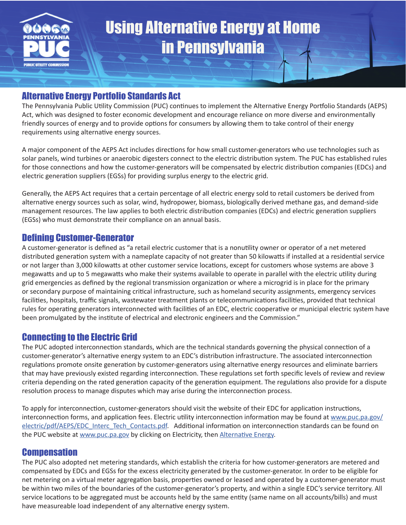

# Alternative Energy Portfolio Standards Act

The Pennsylvania Public Utility Commission (PUC) continues to implement the Alternative Energy Portfolio Standards (AEPS) Act, which was designed to foster economic development and encourage reliance on more diverse and environmentally friendly sources of energy and to provide options for consumers by allowing them to take control of their energy requirements using alternative energy sources.

A major component of the AEPS Act includes directions for how small customer-generators who use technologies such as solar panels, wind turbines or anaerobic digesters connect to the electric distribution system. The PUC has established rules for those connections and how the customer-generators will be compensated by electric distribution companies (EDCs) and electric generation suppliers (EGSs) for providing surplus energy to the electric grid.

Generally, the AEPS Act requires that a certain percentage of all electric energy sold to retail customers be derived from alternative energy sources such as solar, wind, hydropower, biomass, biologically derived methane gas, and demand-side management resources. The law applies to both electric distribution companies (EDCs) and electric generation suppliers (EGSs) who must demonstrate their compliance on an annual basis.

### Defining Customer-Generator

A customer-generator is defined as "a retail electric customer that is a nonutility owner or operator of a net metered distributed generation system with a nameplate capacity of not greater than 50 kilowatts if installed at a residential service or not larger than 3,000 kilowatts at other customer service locations, except for customers whose systems are above 3 megawatts and up to 5 megawatts who make their systems available to operate in parallel with the electric utility during grid emergencies as defined by the regional transmission organization or where a microgrid is in place for the primary or secondary purpose of maintaining critical infrastructure, such as homeland security assignments, emergency services facilities, hospitals, traffic signals, wastewater treatment plants or telecommunications facilities, provided that technical rules for operating generators interconnected with facilities of an EDC, electric cooperative or municipal electric system have been promulgated by the institute of electrical and electronic engineers and the Commission."

# Connecting to the Electric Grid

The PUC adopted interconnection standards, which are the technical standards governing the physical connection of a customer-generator's alternative energy system to an EDC's distribution infrastructure. The associated interconnection regulations promote onsite generation by customer-generators using alternative energy resources and eliminate barriers that may have previously existed regarding interconnection. These regulations set forth specific levels of review and review criteria depending on the rated generation capacity of the generation equipment. The regulations also provide for a dispute resolution process to manage disputes which may arise during the interconnection process.

To apply for interconnection, customer-generators should visit the website of their EDC for application instructions, interconnection forms, and application fees. Electric utility interconnection information may be found at [www.puc.pa.gov/](http://www.puc.pa.gov/electric/pdf/AEPS/EDC_Interc_Tech_Contacts.pdf) [electric/pdf/AEPS/EDC\\_Interc\\_Tech\\_Contacts.pdf](http://www.puc.pa.gov/electric/pdf/AEPS/EDC_Interc_Tech_Contacts.pdf). Additional information on interconnection standards can be found on the PUC website at [www.puc.pa.gov](http://www.puc.pa.gov) by clicking on Electricity, then [Alternative Energy.](http://www.puc.pa.gov/consumer_info/electricity/alternative_energy.aspx)

#### **Compensation**

The PUC also adopted net metering standards, which establish the criteria for how customer-generators are metered and compensated by EDCs and EGSs for the excess electricity generated by the customer-generator. In order to be eligible for net metering on a virtual meter aggregation basis, properties owned or leased and operated by a customer-generator must be within two miles of the boundaries of the customer-generator's property, and within a single EDC's service territory. All service locations to be aggregated must be accounts held by the same entity (same name on all accounts/bills) and must have measureable load independent of any alternative energy system.